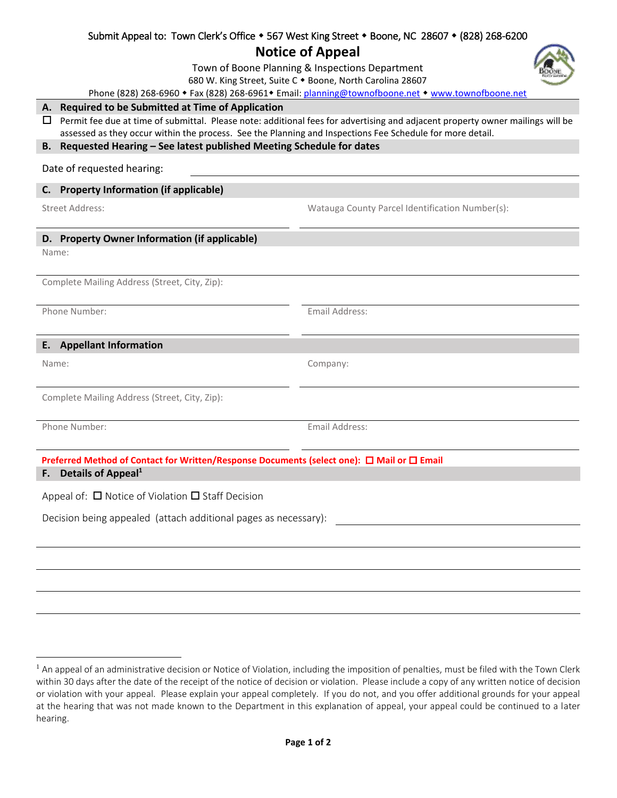| <b>Notice of Appeal</b>                                                                                                                                                                                                                          |                                                 |  |  |  |
|--------------------------------------------------------------------------------------------------------------------------------------------------------------------------------------------------------------------------------------------------|-------------------------------------------------|--|--|--|
| Town of Boone Planning & Inspections Department                                                                                                                                                                                                  |                                                 |  |  |  |
| 680 W. King Street, Suite C . Boone, North Carolina 28607                                                                                                                                                                                        |                                                 |  |  |  |
| Phone (828) 268-6960 • Fax (828) 268-6961 • Email: planning@townofboone.net • www.townofboone.net                                                                                                                                                |                                                 |  |  |  |
| A. Required to be Submitted at Time of Application                                                                                                                                                                                               |                                                 |  |  |  |
| Permit fee due at time of submittal. Please note: additional fees for advertising and adjacent property owner mailings will be<br>ப<br>assessed as they occur within the process. See the Planning and Inspections Fee Schedule for more detail. |                                                 |  |  |  |
| Requested Hearing - See latest published Meeting Schedule for dates<br>В.                                                                                                                                                                        |                                                 |  |  |  |
| Date of requested hearing:                                                                                                                                                                                                                       |                                                 |  |  |  |
| <b>Property Information (if applicable)</b><br>C.                                                                                                                                                                                                |                                                 |  |  |  |
| <b>Street Address:</b>                                                                                                                                                                                                                           | Watauga County Parcel Identification Number(s): |  |  |  |
| D. Property Owner Information (if applicable)                                                                                                                                                                                                    |                                                 |  |  |  |
| Name:                                                                                                                                                                                                                                            |                                                 |  |  |  |
|                                                                                                                                                                                                                                                  |                                                 |  |  |  |
| Complete Mailing Address (Street, City, Zip):                                                                                                                                                                                                    |                                                 |  |  |  |
| Phone Number:                                                                                                                                                                                                                                    | Email Address:                                  |  |  |  |
|                                                                                                                                                                                                                                                  |                                                 |  |  |  |
| <b>E.</b> Appellant Information                                                                                                                                                                                                                  |                                                 |  |  |  |
| Name:                                                                                                                                                                                                                                            | Company:                                        |  |  |  |
|                                                                                                                                                                                                                                                  |                                                 |  |  |  |
| Complete Mailing Address (Street, City, Zip):                                                                                                                                                                                                    |                                                 |  |  |  |
| Phone Number:                                                                                                                                                                                                                                    | Email Address:                                  |  |  |  |
|                                                                                                                                                                                                                                                  |                                                 |  |  |  |
| Preferred Method of Contact for Written/Response Documents (select one): □ Mail or □ Email                                                                                                                                                       |                                                 |  |  |  |
| Details of Appeal <sup>1</sup><br>F.                                                                                                                                                                                                             |                                                 |  |  |  |
| Appeal of: $\Box$ Notice of Violation $\Box$ Staff Decision                                                                                                                                                                                      |                                                 |  |  |  |
| Decision being appealed (attach additional pages as necessary):                                                                                                                                                                                  |                                                 |  |  |  |
|                                                                                                                                                                                                                                                  |                                                 |  |  |  |
|                                                                                                                                                                                                                                                  |                                                 |  |  |  |
|                                                                                                                                                                                                                                                  |                                                 |  |  |  |
|                                                                                                                                                                                                                                                  |                                                 |  |  |  |

Submit Appeal to: Town Clerk's Office  $\bullet$  567 West King Street  $\bullet$  Boone, NC 28607  $\bullet$  (828) 268-6200

 $\overline{\phantom{a}}$ 

<sup>&</sup>lt;sup>1</sup> An appeal of an administrative decision or Notice of Violation, including the imposition of penalties, must be filed with the Town Clerk within 30 days after the date of the receipt of the notice of decision or violation. Please include a copy of any written notice of decision or violation with your appeal. Please explain your appeal completely. If you do not, and you offer additional grounds for your appeal at the hearing that was not made known to the Department in this explanation of appeal, your appeal could be continued to a later hearing.